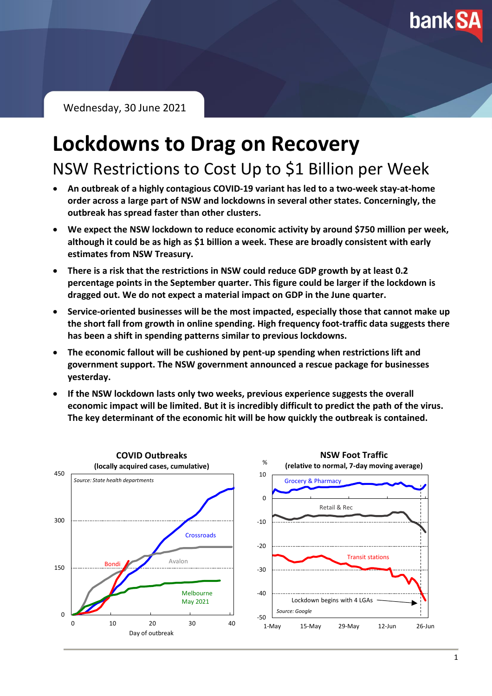**bank SA** 

Wednesday, 30 June 2021

# **Lockdowns to Drag on Recovery**

NSW Restrictions to Cost Up to \$1 Billion per Week

- **An outbreak of a highly contagious COVID-19 variant has led to a two-week stay-at-home order across a large part of NSW and lockdowns in several other states. Concerningly, the outbreak has spread faster than other clusters.**
- **We expect the NSW lockdown to reduce economic activity by around \$750 million per week, although it could be as high as \$1 billion a week. These are broadly consistent with early estimates from NSW Treasury.**
- **There is a risk that the restrictions in NSW could reduce GDP growth by at least 0.2 percentage points in the September quarter. This figure could be larger if the lockdown is dragged out. We do not expect a material impact on GDP in the June quarter.**
- **Service-oriented businesses will be the most impacted, especially those that cannot make up the short fall from growth in online spending. High frequency foot-traffic data suggests there has been a shift in spending patterns similar to previous lockdowns.**
- **The economic fallout will be cushioned by pent-up spending when restrictions lift and government support. The NSW government announced a rescue package for businesses yesterday.**
- **If the NSW lockdown lasts only two weeks, previous experience suggests the overall economic impact will be limited. But it is incredibly difficult to predict the path of the virus. The key determinant of the economic hit will be how quickly the outbreak is contained.**

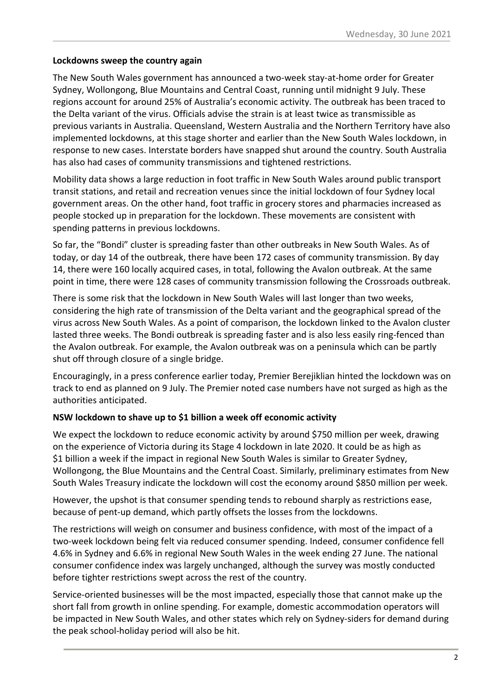# **Lockdowns sweep the country again**

The New South Wales government has announced a two-week stay-at-home order for Greater Sydney, Wollongong, Blue Mountains and Central Coast, running until midnight 9 July. These regions account for around 25% of Australia's economic activity. The outbreak has been traced to the Delta variant of the virus. Officials advise the strain is at least twice as transmissible as previous variants in Australia. Queensland, Western Australia and the Northern Territory have also implemented lockdowns, at this stage shorter and earlier than the New South Wales lockdown, in response to new cases. Interstate borders have snapped shut around the country. South Australia has also had cases of community transmissions and tightened restrictions.

Mobility data shows a large reduction in foot traffic in New South Wales around public transport transit stations, and retail and recreation venues since the initial lockdown of four Sydney local government areas. On the other hand, foot traffic in grocery stores and pharmacies increased as people stocked up in preparation for the lockdown. These movements are consistent with spending patterns in previous lockdowns.

So far, the "Bondi" cluster is spreading faster than other outbreaks in New South Wales. As of today, or day 14 of the outbreak, there have been 172 cases of community transmission. By day 14, there were 160 locally acquired cases, in total, following the Avalon outbreak. At the same point in time, there were 128 cases of community transmission following the Crossroads outbreak.

There is some risk that the lockdown in New South Wales will last longer than two weeks, considering the high rate of transmission of the Delta variant and the geographical spread of the virus across New South Wales. As a point of comparison, the lockdown linked to the Avalon cluster lasted three weeks. The Bondi outbreak is spreading faster and is also less easily ring-fenced than the Avalon outbreak. For example, the Avalon outbreak was on a peninsula which can be partly shut off through closure of a single bridge.

Encouragingly, in a press conference earlier today, Premier Berejiklian hinted the lockdown was on track to end as planned on 9 July. The Premier noted case numbers have not surged as high as the authorities anticipated.

# **NSW lockdown to shave up to \$1 billion a week off economic activity**

We expect the lockdown to reduce economic activity by around \$750 million per week, drawing on the experience of Victoria during its Stage 4 lockdown in late 2020. It could be as high as \$1 billion a week if the impact in regional New South Wales is similar to Greater Sydney, Wollongong, the Blue Mountains and the Central Coast. Similarly, preliminary estimates from New South Wales Treasury indicate the lockdown will cost the economy around \$850 million per week.

However, the upshot is that consumer spending tends to rebound sharply as restrictions ease, because of pent-up demand, which partly offsets the losses from the lockdowns.

The restrictions will weigh on consumer and business confidence, with most of the impact of a two-week lockdown being felt via reduced consumer spending. Indeed, consumer confidence fell 4.6% in Sydney and 6.6% in regional New South Wales in the week ending 27 June. The national consumer confidence index was largely unchanged, although the survey was mostly conducted before tighter restrictions swept across the rest of the country.

Service-oriented businesses will be the most impacted, especially those that cannot make up the short fall from growth in online spending. For example, domestic accommodation operators will be impacted in New South Wales, and other states which rely on Sydney-siders for demand during the peak school-holiday period will also be hit.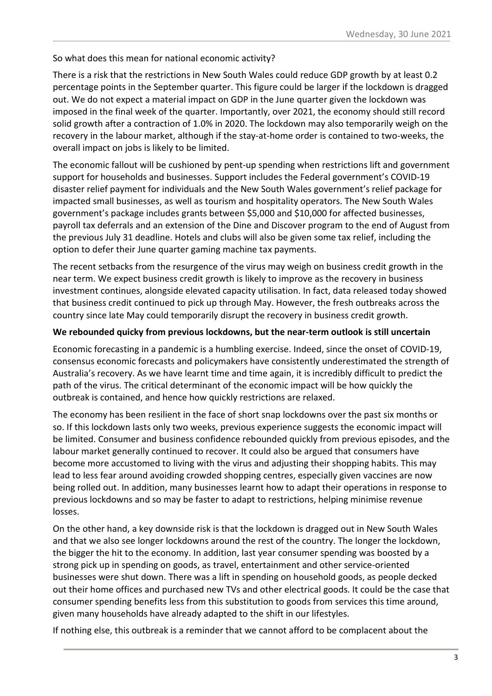# So what does this mean for national economic activity?

There is a risk that the restrictions in New South Wales could reduce GDP growth by at least 0.2 percentage points in the September quarter. This figure could be larger if the lockdown is dragged out. We do not expect a material impact on GDP in the June quarter given the lockdown was imposed in the final week of the quarter. Importantly, over 2021, the economy should still record solid growth after a contraction of 1.0% in 2020. The lockdown may also temporarily weigh on the recovery in the labour market, although if the stay-at-home order is contained to two-weeks, the overall impact on jobs is likely to be limited.

The economic fallout will be cushioned by pent-up spending when restrictions lift and government support for households and businesses. Support includes the Federal government's COVID-19 disaster relief payment for individuals and the New South Wales government's relief package for impacted small businesses, as well as tourism and hospitality operators. The New South Wales government's package includes grants between \$5,000 and \$10,000 for affected businesses, payroll tax deferrals and an extension of the Dine and Discover program to the end of August from the previous July 31 deadline. Hotels and clubs will also be given some tax relief, including the option to defer their June quarter gaming machine tax payments.

The recent setbacks from the resurgence of the virus may weigh on business credit growth in the near term. We expect business credit growth is likely to improve as the recovery in business investment continues, alongside elevated capacity utilisation. In fact, data released today showed that business credit continued to pick up through May. However, the fresh outbreaks across the country since late May could temporarily disrupt the recovery in business credit growth.

### **We rebounded quicky from previous lockdowns, but the near-term outlook is still uncertain**

Economic forecasting in a pandemic is a humbling exercise. Indeed, since the onset of COVID-19, consensus economic forecasts and policymakers have consistently underestimated the strength of Australia's recovery. As we have learnt time and time again, it is incredibly difficult to predict the path of the virus. The critical determinant of the economic impact will be how quickly the outbreak is contained, and hence how quickly restrictions are relaxed.

The economy has been resilient in the face of short snap lockdowns over the past six months or so. If this lockdown lasts only two weeks, previous experience suggests the economic impact will be limited. Consumer and business confidence rebounded quickly from previous episodes, and the labour market generally continued to recover. It could also be argued that consumers have become more accustomed to living with the virus and adjusting their shopping habits. This may lead to less fear around avoiding crowded shopping centres, especially given vaccines are now being rolled out. In addition, many businesses learnt how to adapt their operations in response to previous lockdowns and so may be faster to adapt to restrictions, helping minimise revenue losses.

On the other hand, a key downside risk is that the lockdown is dragged out in New South Wales and that we also see longer lockdowns around the rest of the country. The longer the lockdown, the bigger the hit to the economy. In addition, last year consumer spending was boosted by a strong pick up in spending on goods, as travel, entertainment and other service-oriented businesses were shut down. There was a lift in spending on household goods, as people decked out their home offices and purchased new TVs and other electrical goods. It could be the case that consumer spending benefits less from this substitution to goods from services this time around, given many households have already adapted to the shift in our lifestyles.

If nothing else, this outbreak is a reminder that we cannot afford to be complacent about the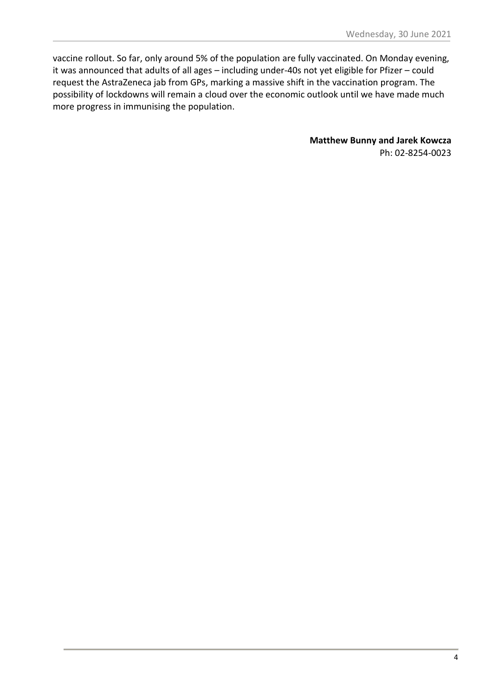vaccine rollout. So far, only around 5% of the population are fully vaccinated. On Monday evening, it was announced that adults of all ages – including under-40s not yet eligible for Pfizer – could request the AstraZeneca jab from GPs, marking a massive shift in the vaccination program. The possibility of lockdowns will remain a cloud over the economic outlook until we have made much more progress in immunising the population.

> **Matthew Bunny and Jarek Kowcza** Ph: 02-8254-0023